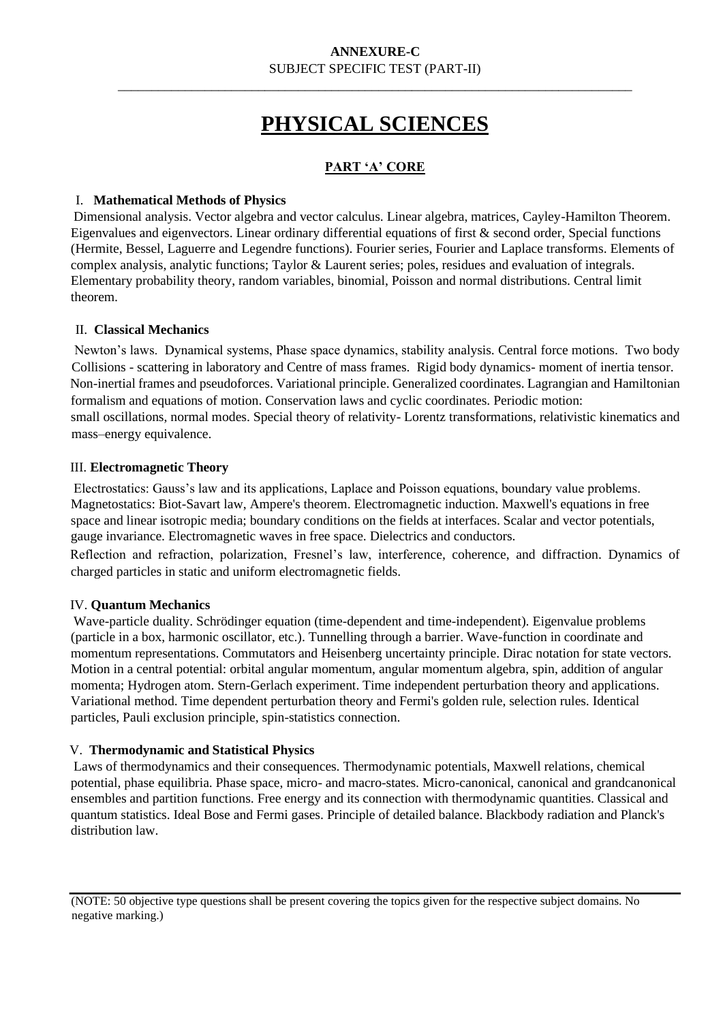\_\_\_\_\_\_\_\_\_\_\_\_\_\_\_\_\_\_\_\_\_\_\_\_\_\_\_\_\_\_\_\_\_\_\_\_\_\_\_\_\_\_\_\_\_\_\_\_\_\_\_\_\_\_\_\_\_\_\_\_\_\_\_\_\_\_\_\_\_\_\_\_\_\_\_\_\_

# **PHYSICAL SCIENCES**

# **PART 'A' CORE**

### I. **Mathematical Methods of Physics**

Dimensional analysis. Vector algebra and vector calculus. Linear algebra, matrices, Cayley-Hamilton Theorem. Eigenvalues and eigenvectors. Linear ordinary differential equations of first & second order, Special functions (Hermite, Bessel, Laguerre and Legendre functions). Fourier series, Fourier and Laplace transforms. Elements of complex analysis, analytic functions; Taylor & Laurent series; poles, residues and evaluation of integrals. Elementary probability theory, random variables, binomial, Poisson and normal distributions. Central limit theorem.

#### II. **Classical Mechanics**

Newton's laws. Dynamical systems, Phase space dynamics, stability analysis. Central force motions. Two body Collisions - scattering in laboratory and Centre of mass frames. Rigid body dynamics- moment of inertia tensor. Non-inertial frames and pseudoforces. Variational principle. Generalized coordinates. Lagrangian and Hamiltonian formalism and equations of motion. Conservation laws and cyclic coordinates. Periodic motion: small oscillations, normal modes. Special theory of relativity- Lorentz transformations, relativistic kinematics and mass–energy equivalence.

#### III. **Electromagnetic Theory**

Electrostatics: Gauss's law and its applications, Laplace and Poisson equations, boundary value problems. Magnetostatics: Biot-Savart law, Ampere's theorem. Electromagnetic induction. Maxwell's equations in free space and linear isotropic media; boundary conditions on the fields at interfaces. Scalar and vector potentials, gauge invariance. Electromagnetic waves in free space. Dielectrics and conductors.

Reflection and refraction, polarization, Fresnel's law, interference, coherence, and diffraction. Dynamics of charged particles in static and uniform electromagnetic fields.

## IV. **Quantum Mechanics**

Wave-particle duality. Schrödinger equation (time-dependent and time-independent). Eigenvalue problems (particle in a box, harmonic oscillator, etc.). Tunnelling through a barrier. Wave-function in coordinate and momentum representations. Commutators and Heisenberg uncertainty principle. Dirac notation for state vectors. Motion in a central potential: orbital angular momentum, angular momentum algebra, spin, addition of angular momenta; Hydrogen atom. Stern-Gerlach experiment. Time independent perturbation theory and applications. Variational method. Time dependent perturbation theory and Fermi's golden rule, selection rules. Identical particles, Pauli exclusion principle, spin-statistics connection.

#### V. **Thermodynamic and Statistical Physics**

Laws of thermodynamics and their consequences. Thermodynamic potentials, Maxwell relations, chemical potential, phase equilibria. Phase space, micro- and macro-states. Micro-canonical, canonical and grandcanonical ensembles and partition functions. Free energy and its connection with thermodynamic quantities. Classical and quantum statistics. Ideal Bose and Fermi gases. Principle of detailed balance. Blackbody radiation and Planck's distribution law.

(NOTE: 50 objective type questions shall be present covering the topics given for the respective subject domains. No negative marking.)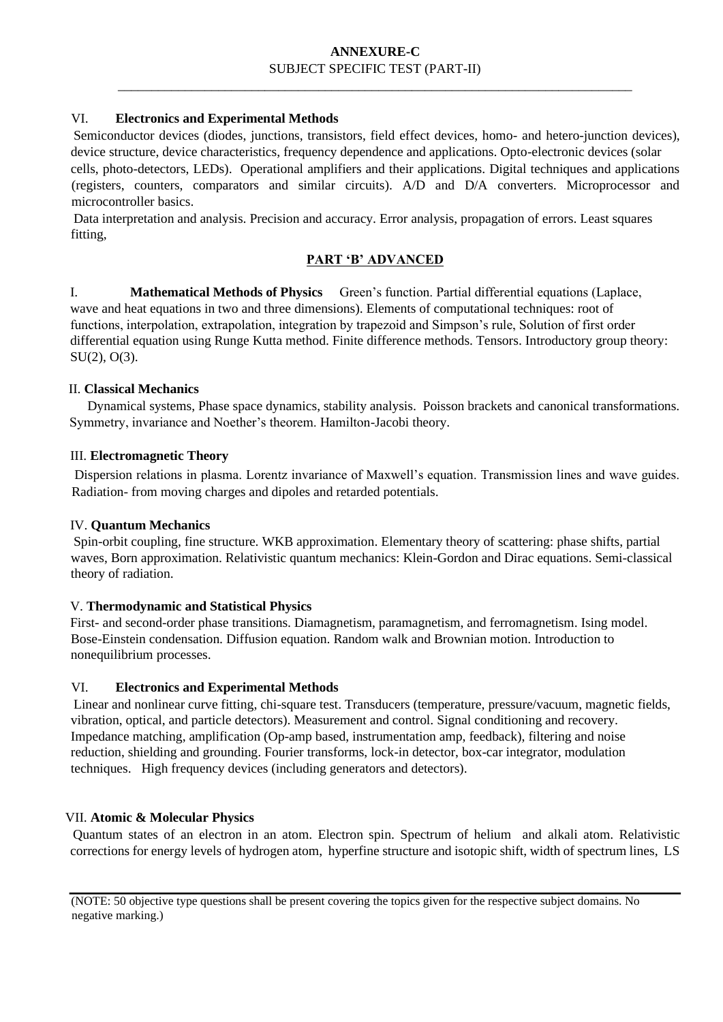\_\_\_\_\_\_\_\_\_\_\_\_\_\_\_\_\_\_\_\_\_\_\_\_\_\_\_\_\_\_\_\_\_\_\_\_\_\_\_\_\_\_\_\_\_\_\_\_\_\_\_\_\_\_\_\_\_\_\_\_\_\_\_\_\_\_\_\_\_\_\_\_\_\_\_\_\_

#### VI. **Electronics and Experimental Methods**

Semiconductor devices (diodes, junctions, transistors, field effect devices, homo- and hetero-junction devices), device structure, device characteristics, frequency dependence and applications. Opto-electronic devices (solar cells, photo-detectors, LEDs). Operational amplifiers and their applications. Digital techniques and applications (registers, counters, comparators and similar circuits). A/D and D/A converters. Microprocessor and microcontroller basics.

Data interpretation and analysis. Precision and accuracy. Error analysis, propagation of errors. Least squares fitting,

## **PART 'B' ADVANCED**

 I. **Mathematical Methods of Physics** Green's function. Partial differential equations (Laplace, wave and heat equations in two and three dimensions). Elements of computational techniques: root of functions, interpolation, extrapolation, integration by trapezoid and Simpson's rule, Solution of first order differential equation using Runge Kutta method. Finite difference methods. Tensors. Introductory group theory: SU(2), O(3).

#### II. **Classical Mechanics**

Dynamical systems, Phase space dynamics, stability analysis. Poisson brackets and canonical transformations. Symmetry, invariance and Noether's theorem. Hamilton-Jacobi theory.

#### III. **Electromagnetic Theory**

Dispersion relations in plasma. Lorentz invariance of Maxwell's equation. Transmission lines and wave guides. Radiation- from moving charges and dipoles and retarded potentials.

#### IV. **Quantum Mechanics**

Spin-orbit coupling, fine structure. WKB approximation. Elementary theory of scattering: phase shifts, partial waves, Born approximation. Relativistic quantum mechanics: Klein-Gordon and Dirac equations. Semi-classical theory of radiation.

## V. **Thermodynamic and Statistical Physics**

First- and second-order phase transitions. Diamagnetism, paramagnetism, and ferromagnetism. Ising model. Bose-Einstein condensation. Diffusion equation. Random walk and Brownian motion. Introduction to nonequilibrium processes.

#### VI. **Electronics and Experimental Methods**

Linear and nonlinear curve fitting, chi-square test. Transducers (temperature, pressure/vacuum, magnetic fields, vibration, optical, and particle detectors). Measurement and control. Signal conditioning and recovery. Impedance matching, amplification (Op-amp based, instrumentation amp, feedback), filtering and noise reduction, shielding and grounding. Fourier transforms, lock-in detector, box-car integrator, modulation techniques. High frequency devices (including generators and detectors).

#### VII. **Atomic & Molecular Physics**

Quantum states of an electron in an atom. Electron spin. Spectrum of helium and alkali atom. Relativistic corrections for energy levels of hydrogen atom, hyperfine structure and isotopic shift, width of spectrum lines, LS

(NOTE: 50 objective type questions shall be present covering the topics given for the respective subject domains. No negative marking.)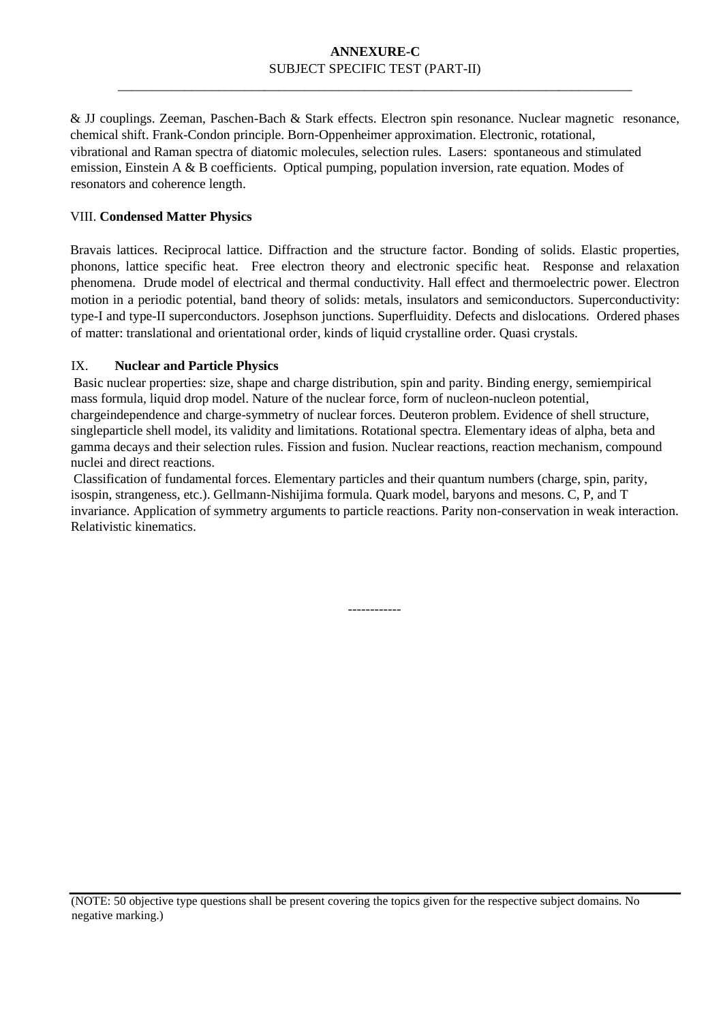\_\_\_\_\_\_\_\_\_\_\_\_\_\_\_\_\_\_\_\_\_\_\_\_\_\_\_\_\_\_\_\_\_\_\_\_\_\_\_\_\_\_\_\_\_\_\_\_\_\_\_\_\_\_\_\_\_\_\_\_\_\_\_\_\_\_\_\_\_\_\_\_\_\_\_\_\_

& JJ couplings. Zeeman, Paschen-Bach & Stark effects. Electron spin resonance. Nuclear magnetic resonance, chemical shift. Frank-Condon principle. Born-Oppenheimer approximation. Electronic, rotational, vibrational and Raman spectra of diatomic molecules, selection rules. Lasers: spontaneous and stimulated emission, Einstein A & B coefficients. Optical pumping, population inversion, rate equation. Modes of resonators and coherence length.

## VIII. **Condensed Matter Physics**

Bravais lattices. Reciprocal lattice. Diffraction and the structure factor. Bonding of solids. Elastic properties, phonons, lattice specific heat. Free electron theory and electronic specific heat. Response and relaxation phenomena. Drude model of electrical and thermal conductivity. Hall effect and thermoelectric power. Electron motion in a periodic potential, band theory of solids: metals, insulators and semiconductors. Superconductivity: type-I and type-II superconductors. Josephson junctions. Superfluidity. Defects and dislocations. Ordered phases of matter: translational and orientational order, kinds of liquid crystalline order. Quasi crystals.

## IX. **Nuclear and Particle Physics**

Basic nuclear properties: size, shape and charge distribution, spin and parity. Binding energy, semiempirical mass formula, liquid drop model. Nature of the nuclear force, form of nucleon-nucleon potential, chargeindependence and charge-symmetry of nuclear forces. Deuteron problem. Evidence of shell structure, singleparticle shell model, its validity and limitations. Rotational spectra. Elementary ideas of alpha, beta and gamma decays and their selection rules. Fission and fusion. Nuclear reactions, reaction mechanism, compound nuclei and direct reactions.

Classification of fundamental forces. Elementary particles and their quantum numbers (charge, spin, parity, isospin, strangeness, etc.). Gellmann-Nishijima formula. Quark model, baryons and mesons. C, P, and T invariance. Application of symmetry arguments to particle reactions. Parity non-conservation in weak interaction. Relativistic kinematics.

------------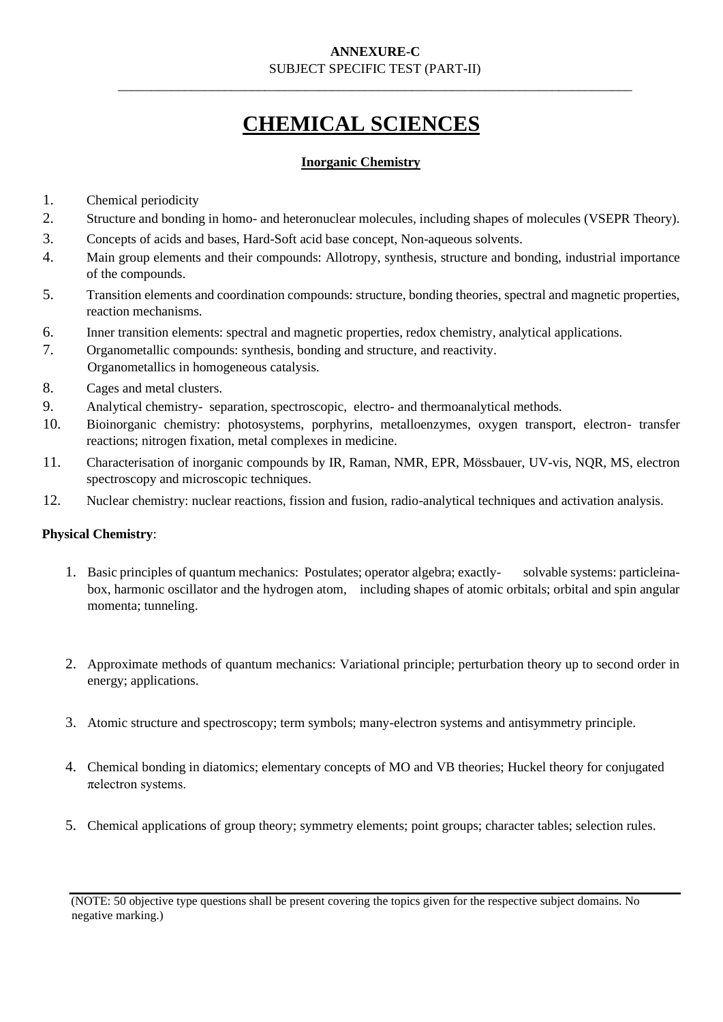\_\_\_\_\_\_\_\_\_\_\_\_\_\_\_\_\_\_\_\_\_\_\_\_\_\_\_\_\_\_\_\_\_\_\_\_\_\_\_\_\_\_\_\_\_\_\_\_\_\_\_\_\_\_\_\_\_\_\_\_\_\_\_\_\_\_\_\_\_\_\_\_\_\_\_\_\_

# **CHEMICAL SCIENCES**

## **Inorganic Chemistry**

- 1. Chemical periodicity
- 2. Structure and bonding in homo- and heteronuclear molecules, including shapes of molecules (VSEPR Theory).
- 3. Concepts of acids and bases, Hard-Soft acid base concept, Non-aqueous solvents.
- 4. Main group elements and their compounds: Allotropy, synthesis, structure and bonding, industrial importance of the compounds.
- 5. Transition elements and coordination compounds: structure, bonding theories, spectral and magnetic properties, reaction mechanisms.
- 6. Inner transition elements: spectral and magnetic properties, redox chemistry, analytical applications.
- 7. Organometallic compounds: synthesis, bonding and structure, and reactivity. Organometallics in homogeneous catalysis.
- 8. Cages and metal clusters.
- 9. Analytical chemistry- separation, spectroscopic, electro- and thermoanalytical methods.
- 10. Bioinorganic chemistry: photosystems, porphyrins, metalloenzymes, oxygen transport, electron- transfer reactions; nitrogen fixation, metal complexes in medicine.
- 11. Characterisation of inorganic compounds by IR, Raman, NMR, EPR, Mössbauer, UV-vis, NQR, MS, electron spectroscopy and microscopic techniques.
- 12. Nuclear chemistry: nuclear reactions, fission and fusion, radio-analytical techniques and activation analysis.

## **Physical Chemistry**:

- 1. Basic principles of quantum mechanics: Postulates; operator algebra; exactly- solvable systems: particleinabox, harmonic oscillator and the hydrogen atom, including shapes of atomic orbitals; orbital and spin angular momenta; tunneling.
- 2. Approximate methods of quantum mechanics: Variational principle; perturbation theory up to second order in energy; applications.
- 3. Atomic structure and spectroscopy; term symbols; many-electron systems and antisymmetry principle.
- 4. Chemical bonding in diatomics; elementary concepts of MO and VB theories; Huckel theory for conjugated πelectron systems.
- 5. Chemical applications of group theory; symmetry elements; point groups; character tables; selection rules.

<sup>(</sup>NOTE: 50 objective type questions shall be present covering the topics given for the respective subject domains. No negative marking.)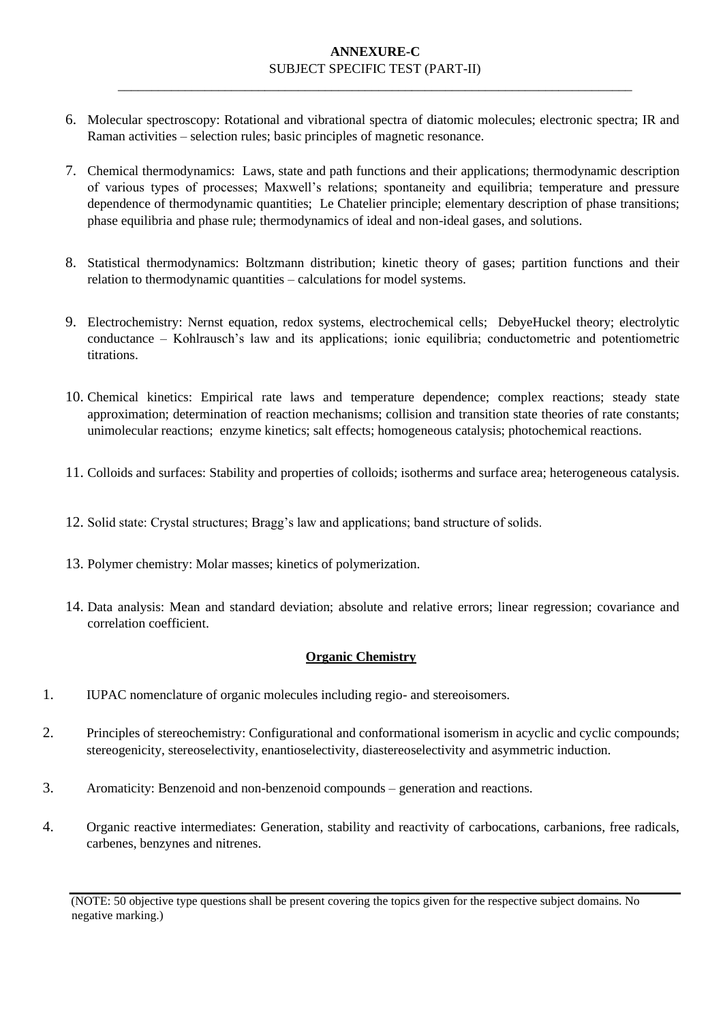\_\_\_\_\_\_\_\_\_\_\_\_\_\_\_\_\_\_\_\_\_\_\_\_\_\_\_\_\_\_\_\_\_\_\_\_\_\_\_\_\_\_\_\_\_\_\_\_\_\_\_\_\_\_\_\_\_\_\_\_\_\_\_\_\_\_\_\_\_\_\_\_\_\_\_\_\_

- 6. Molecular spectroscopy: Rotational and vibrational spectra of diatomic molecules; electronic spectra; IR and Raman activities – selection rules; basic principles of magnetic resonance.
- 7. Chemical thermodynamics: Laws, state and path functions and their applications; thermodynamic description of various types of processes; Maxwell's relations; spontaneity and equilibria; temperature and pressure dependence of thermodynamic quantities; Le Chatelier principle; elementary description of phase transitions; phase equilibria and phase rule; thermodynamics of ideal and non-ideal gases, and solutions.
- 8. Statistical thermodynamics: Boltzmann distribution; kinetic theory of gases; partition functions and their relation to thermodynamic quantities – calculations for model systems.
- 9. Electrochemistry: Nernst equation, redox systems, electrochemical cells; DebyeHuckel theory; electrolytic conductance – Kohlrausch's law and its applications; ionic equilibria; conductometric and potentiometric titrations.
- 10. Chemical kinetics: Empirical rate laws and temperature dependence; complex reactions; steady state approximation; determination of reaction mechanisms; collision and transition state theories of rate constants; unimolecular reactions; enzyme kinetics; salt effects; homogeneous catalysis; photochemical reactions.
- 11. Colloids and surfaces: Stability and properties of colloids; isotherms and surface area; heterogeneous catalysis.
- 12. Solid state: Crystal structures; Bragg's law and applications; band structure of solids.
- 13. Polymer chemistry: Molar masses; kinetics of polymerization.
- 14. Data analysis: Mean and standard deviation; absolute and relative errors; linear regression; covariance and correlation coefficient.

## **Organic Chemistry**

- 1. IUPAC nomenclature of organic molecules including regio- and stereoisomers.
- 2. Principles of stereochemistry: Configurational and conformational isomerism in acyclic and cyclic compounds; stereogenicity, stereoselectivity, enantioselectivity, diastereoselectivity and asymmetric induction.
- 3. Aromaticity: Benzenoid and non-benzenoid compounds generation and reactions.
- 4. Organic reactive intermediates: Generation, stability and reactivity of carbocations, carbanions, free radicals, carbenes, benzynes and nitrenes.

<sup>(</sup>NOTE: 50 objective type questions shall be present covering the topics given for the respective subject domains. No negative marking.)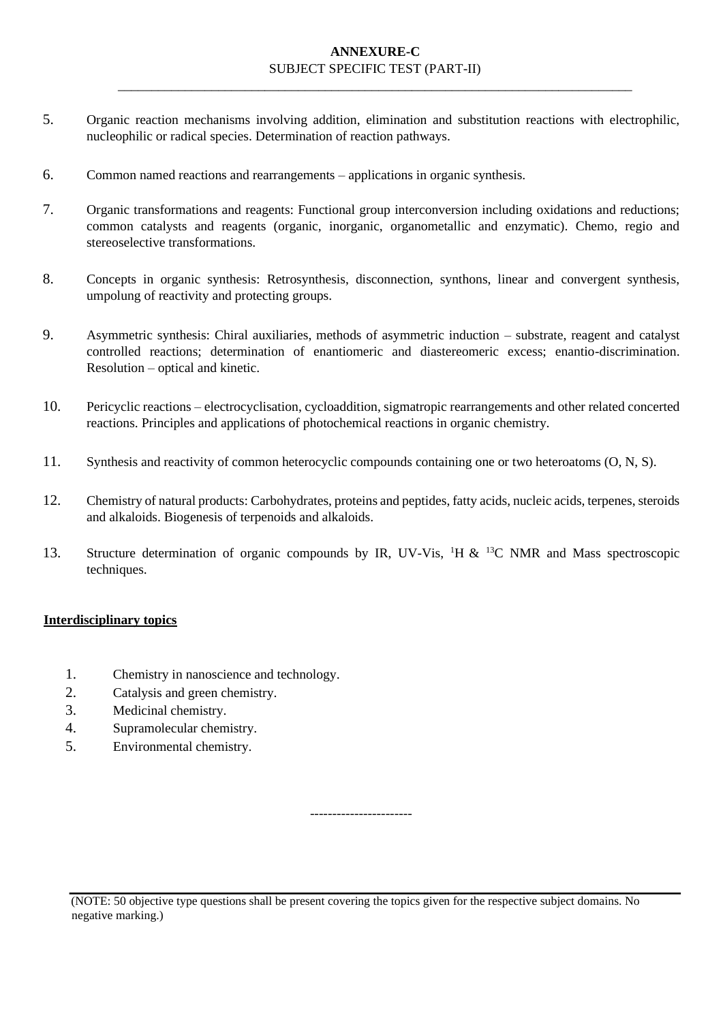\_\_\_\_\_\_\_\_\_\_\_\_\_\_\_\_\_\_\_\_\_\_\_\_\_\_\_\_\_\_\_\_\_\_\_\_\_\_\_\_\_\_\_\_\_\_\_\_\_\_\_\_\_\_\_\_\_\_\_\_\_\_\_\_\_\_\_\_\_\_\_\_\_\_\_\_\_

- 5. Organic reaction mechanisms involving addition, elimination and substitution reactions with electrophilic, nucleophilic or radical species. Determination of reaction pathways.
- 6. Common named reactions and rearrangements applications in organic synthesis.
- 7. Organic transformations and reagents: Functional group interconversion including oxidations and reductions; common catalysts and reagents (organic, inorganic, organometallic and enzymatic). Chemo, regio and stereoselective transformations.
- 8. Concepts in organic synthesis: Retrosynthesis, disconnection, synthons, linear and convergent synthesis, umpolung of reactivity and protecting groups.
- 9. Asymmetric synthesis: Chiral auxiliaries, methods of asymmetric induction substrate, reagent and catalyst controlled reactions; determination of enantiomeric and diastereomeric excess; enantio-discrimination. Resolution – optical and kinetic.
- 10. Pericyclic reactions electrocyclisation, cycloaddition, sigmatropic rearrangements and other related concerted reactions. Principles and applications of photochemical reactions in organic chemistry.
- 11. Synthesis and reactivity of common heterocyclic compounds containing one or two heteroatoms (O, N, S).
- 12. Chemistry of natural products: Carbohydrates, proteins and peptides, fatty acids, nucleic acids, terpenes, steroids and alkaloids. Biogenesis of terpenoids and alkaloids.
- 13. Structure determination of organic compounds by IR, UV-Vis, <sup>1</sup>H & <sup>13</sup>C NMR and Mass spectroscopic techniques.

#### **Interdisciplinary topics**

- 1. Chemistry in nanoscience and technology.
- 2. Catalysis and green chemistry.
- 3. Medicinal chemistry.
- 4. Supramolecular chemistry.
- 5. Environmental chemistry.

-----------------------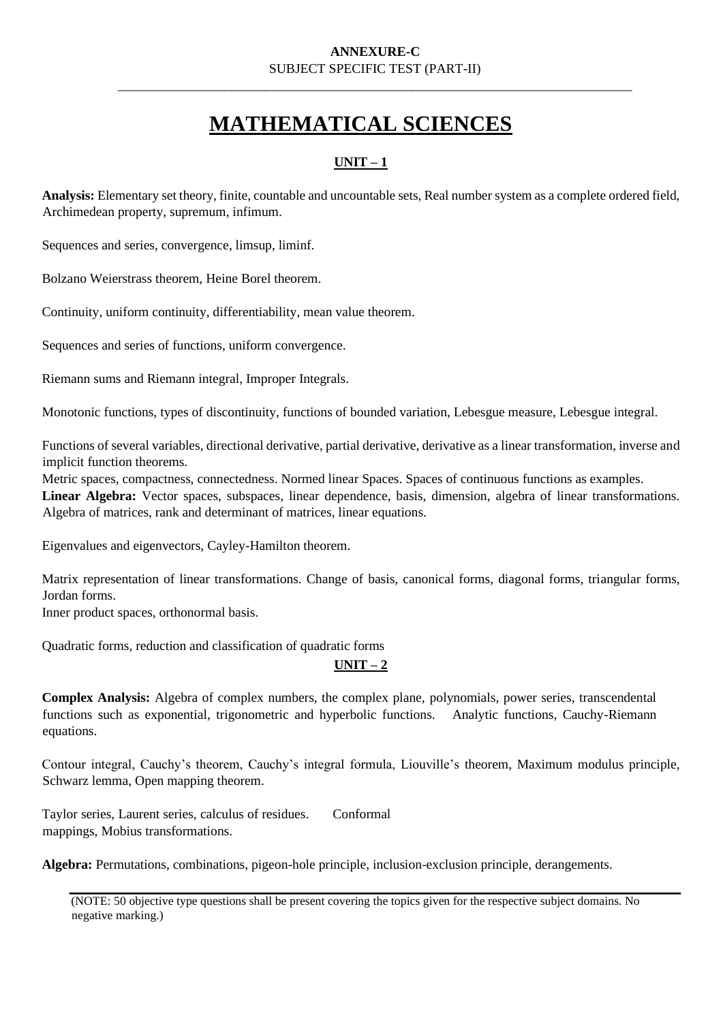\_\_\_\_\_\_\_\_\_\_\_\_\_\_\_\_\_\_\_\_\_\_\_\_\_\_\_\_\_\_\_\_\_\_\_\_\_\_\_\_\_\_\_\_\_\_\_\_\_\_\_\_\_\_\_\_\_\_\_\_\_\_\_\_\_\_\_\_\_\_\_\_\_\_\_\_\_

# **MATHEMATICAL SCIENCES**

# **UNIT – 1**

**Analysis:** Elementary set theory, finite, countable and uncountable sets, Real number system as a complete ordered field, Archimedean property, supremum, infimum.

Sequences and series, convergence, limsup, liminf.

Bolzano Weierstrass theorem, Heine Borel theorem.

Continuity, uniform continuity, differentiability, mean value theorem.

Sequences and series of functions, uniform convergence.

Riemann sums and Riemann integral, Improper Integrals.

Monotonic functions, types of discontinuity, functions of bounded variation, Lebesgue measure, Lebesgue integral.

Functions of several variables, directional derivative, partial derivative, derivative as a linear transformation, inverse and implicit function theorems.

Metric spaces, compactness, connectedness. Normed linear Spaces. Spaces of continuous functions as examples. **Linear Algebra:** Vector spaces, subspaces, linear dependence, basis, dimension, algebra of linear transformations. Algebra of matrices, rank and determinant of matrices, linear equations.

Eigenvalues and eigenvectors, Cayley-Hamilton theorem.

Matrix representation of linear transformations. Change of basis, canonical forms, diagonal forms, triangular forms, Jordan forms.

Inner product spaces, orthonormal basis.

Quadratic forms, reduction and classification of quadratic forms

## **UNIT – 2**

**Complex Analysis:** Algebra of complex numbers, the complex plane, polynomials, power series, transcendental functions such as exponential, trigonometric and hyperbolic functions. Analytic functions, Cauchy-Riemann equations.

Contour integral, Cauchy's theorem, Cauchy's integral formula, Liouville's theorem, Maximum modulus principle, Schwarz lemma, Open mapping theorem.

Taylor series, Laurent series, calculus of residues. Conformal mappings, Mobius transformations.

**Algebra:** Permutations, combinations, pigeon-hole principle, inclusion-exclusion principle, derangements.

(NOTE: 50 objective type questions shall be present covering the topics given for the respective subject domains. No negative marking.)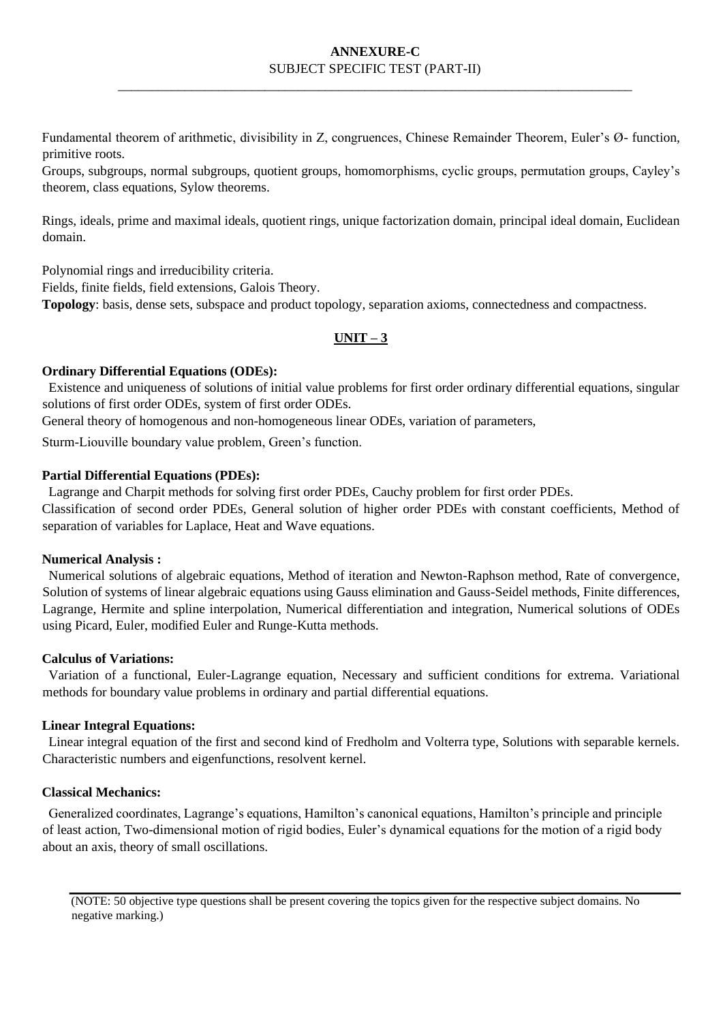\_\_\_\_\_\_\_\_\_\_\_\_\_\_\_\_\_\_\_\_\_\_\_\_\_\_\_\_\_\_\_\_\_\_\_\_\_\_\_\_\_\_\_\_\_\_\_\_\_\_\_\_\_\_\_\_\_\_\_\_\_\_\_\_\_\_\_\_\_\_\_\_\_\_\_\_\_

Fundamental theorem of arithmetic, divisibility in Z, congruences, Chinese Remainder Theorem, Euler's Ø- function, primitive roots.

Groups, subgroups, normal subgroups, quotient groups, homomorphisms, cyclic groups, permutation groups, Cayley's theorem, class equations, Sylow theorems.

Rings, ideals, prime and maximal ideals, quotient rings, unique factorization domain, principal ideal domain, Euclidean domain.

Polynomial rings and irreducibility criteria.

Fields, finite fields, field extensions, Galois Theory.

**Topology**: basis, dense sets, subspace and product topology, separation axioms, connectedness and compactness.

## **UNIT – 3**

#### **Ordinary Differential Equations (ODEs):**

 Existence and uniqueness of solutions of initial value problems for first order ordinary differential equations, singular solutions of first order ODEs, system of first order ODEs.

General theory of homogenous and non-homogeneous linear ODEs, variation of parameters,

Sturm-Liouville boundary value problem, Green's function.

## **Partial Differential Equations (PDEs):**

Lagrange and Charpit methods for solving first order PDEs, Cauchy problem for first order PDEs.

Classification of second order PDEs, General solution of higher order PDEs with constant coefficients, Method of separation of variables for Laplace, Heat and Wave equations.

#### **Numerical Analysis :**

 Numerical solutions of algebraic equations, Method of iteration and Newton-Raphson method, Rate of convergence, Solution of systems of linear algebraic equations using Gauss elimination and Gauss-Seidel methods, Finite differences, Lagrange, Hermite and spline interpolation, Numerical differentiation and integration, Numerical solutions of ODEs using Picard, Euler, modified Euler and Runge-Kutta methods.

#### **Calculus of Variations:**

 Variation of a functional, Euler-Lagrange equation, Necessary and sufficient conditions for extrema. Variational methods for boundary value problems in ordinary and partial differential equations.

#### **Linear Integral Equations:**

 Linear integral equation of the first and second kind of Fredholm and Volterra type, Solutions with separable kernels. Characteristic numbers and eigenfunctions, resolvent kernel.

#### **Classical Mechanics:**

 Generalized coordinates, Lagrange's equations, Hamilton's canonical equations, Hamilton's principle and principle of least action, Two-dimensional motion of rigid bodies, Euler's dynamical equations for the motion of a rigid body about an axis, theory of small oscillations.